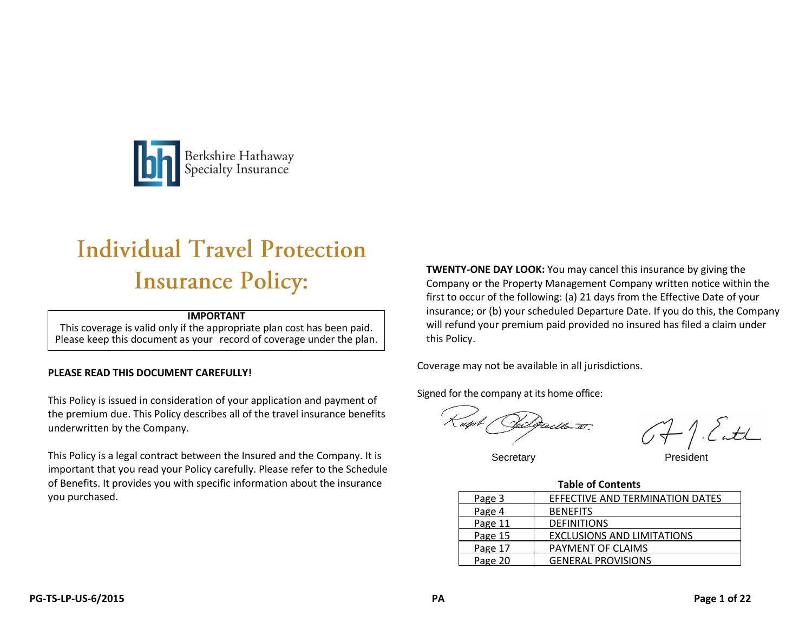

# **Individual Travel Protection Insurance Policy:**

#### **IMPORTANT**

This coverage is valid only if the appropriate plan cost has been paid. Please keep this document as your record of coverage under the plan.

#### **PLEASE READ THIS DOCUMENT CAREFULLY!**

This Policy is issued in consideration of your application and payment of the premium due. This Policy describes all of the travel insurance benefits underwritten by the Company.

This Policy is a legal contract between the Insured and the Company. It is important that you read your Policy carefully. Please refer to the Schedule of Benefits. It provides you with specific information about the insurance you purchased.

**TWENTY-ONE DAY LOOK:** You may cancel this insurance by giving the Company or the Property Management Company written notice within the first to occur of the following: (a) 21 days from the Effective Date of your insurance; or (b) your scheduled Departure Date. If you do this, the Company will refund your premium paid provided no insured has filed a claim under this Policy.

Coverage may not be available in all jurisdictions.

Signed for the company at its home office:

recello IT

OF I. Catch

Secretary

| <b>Table of Contents</b> |                                   |  |
|--------------------------|-----------------------------------|--|
| Page 3                   | EFFECTIVE AND TERMINATION DATES   |  |
| Page 4                   | <b>BENEFITS</b>                   |  |
| Page 11                  | <b>DEFINITIONS</b>                |  |
| Page 15                  | <b>EXCLUSIONS AND LIMITATIONS</b> |  |
| Page 17                  | PAYMENT OF CLAIMS                 |  |
| Page 20                  | <b>GENERAL PROVISIONS</b>         |  |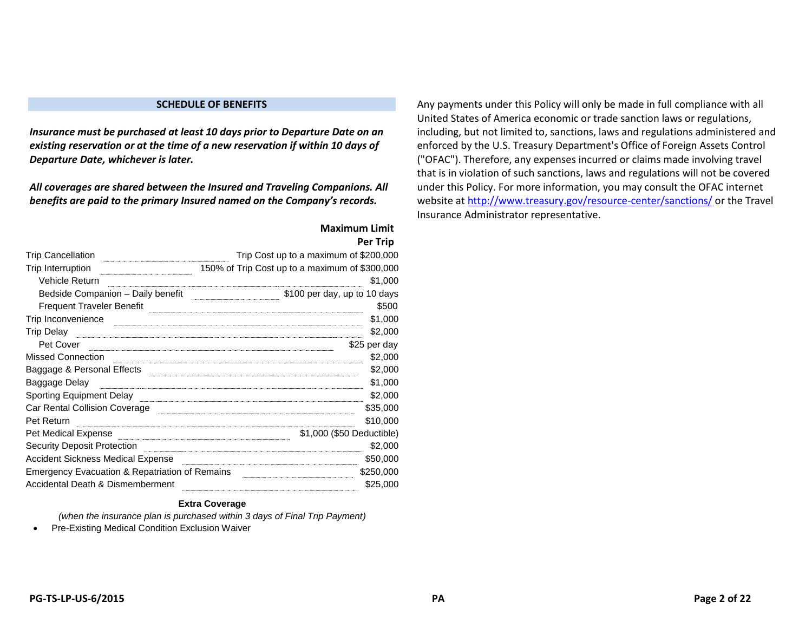#### **SCHEDULE OF BENEFITS**

*Insurance must be purchased at least 10 days prior to Departure Date on an existing reservation or at the time of a new reservation if within 10 days of Departure Date, whichever is later.*

*All coverages are shared between the Insured and Traveling Companions. All benefits are paid to the primary Insured named on the Company's records.*

|                                                           | Per Trip                                       |
|-----------------------------------------------------------|------------------------------------------------|
| Trip Cancellation                                         | Trip Cost up to a maximum of \$200,000         |
| Trip Interruption                                         | 150% of Trip Cost up to a maximum of \$300,000 |
| Vehicle Return                                            | \$1,000                                        |
| Bedside Companion - Daily benefit                         | \$100 per day, up to 10 days                   |
| <b>Frequent Traveler Benefit</b>                          | \$500                                          |
| Trip Inconvenience                                        | \$1,000                                        |
| Trip Delay                                                | \$2,000                                        |
| Pet Cover                                                 | \$25 per day                                   |
| Missed Connection                                         | \$2,000                                        |
| Baggage & Personal Effects                                | \$2,000                                        |
| Baggage Delay                                             | \$1,000                                        |
| Sporting Equipment Delay                                  | \$2,000                                        |
| Car Rental Collision Coverage                             | \$35,000                                       |
| Pet Return                                                | \$10,000                                       |
| Pet Medical Expense                                       | \$1,000 (\$50 Deductible)                      |
| <b>Security Deposit Protection</b>                        | \$2,000                                        |
| Accident Sickness Medical Expense                         | \$50,000                                       |
| <b>Emergency Evacuation &amp; Repatriation of Remains</b> | \$250,000                                      |
| Accidental Death & Dismemberment                          | \$25,000                                       |

#### **Maximum Limit Per Trip**

#### **Extra Coverage**

*(when the insurance plan is purchased within 3 days of Final Trip Payment)*

• Pre-Existing Medical Condition Exclusion Waiver

Any payments under this Policy will only be made in full compliance with all United States of America economic or trade sanction laws or regulations, including, but not limited to, sanctions, laws and regulations administered and enforced by the U.S. Treasury Department's Office of Foreign Assets Control ("OFAC"). Therefore, any expenses incurred or claims made involving travel that is in violation of such sanctions, laws and regulations will not be covered under this Policy. For more information, you may consult the OFAC internet website at<http://www.treasury.gov/resource-center/sanctions/> or the Travel Insurance Administrator representative.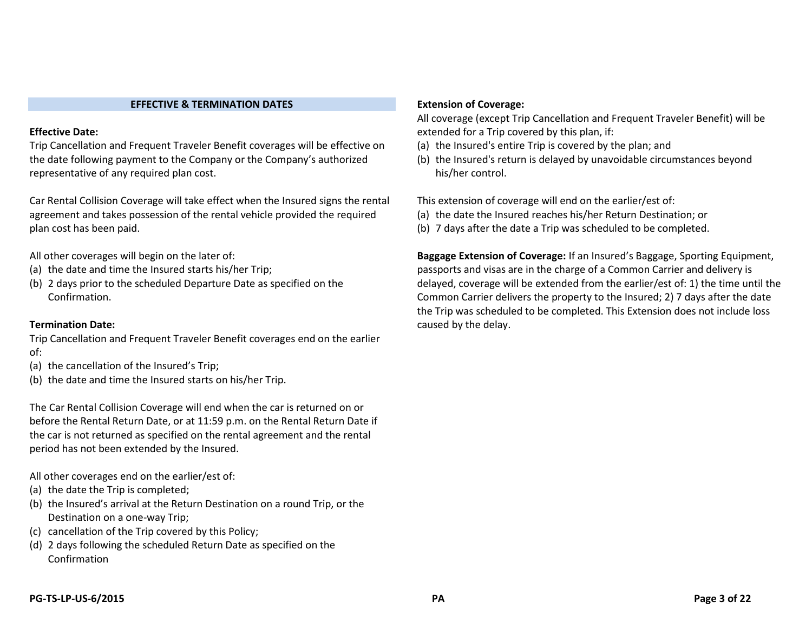#### **EFFECTIVE & TERMINATION DATES**

#### **Effective Date:**

Trip Cancellation and Frequent Traveler Benefit coverages will be effective on the date following payment to the Company or the Company's authorized representative of any required plan cost.

Car Rental Collision Coverage will take effect when the Insured signs the rental agreement and takes possession of the rental vehicle provided the required plan cost has been paid.

All other coverages will begin on the later of:

- (a) the date and time the Insured starts his/her Trip;
- (b) 2 days prior to the scheduled Departure Date as specified on the Confirmation.

#### **Termination Date:**

Trip Cancellation and Frequent Traveler Benefit coverages end on the earlier of:

- (a) the cancellation of the Insured's Trip;
- (b) the date and time the Insured starts on his/her Trip.

The Car Rental Collision Coverage will end when the car is returned on or before the Rental Return Date, or at 11:59 p.m. on the Rental Return Date if the car is not returned as specified on the rental agreement and the rental period has not been extended by the Insured.

All other coverages end on the earlier/est of:

- (a) the date the Trip is completed;
- (b) the Insured's arrival at the Return Destination on a round Trip, or the Destination on a one-way Trip;
- (c) cancellation of the Trip covered by this Policy;
- (d) 2 days following the scheduled Return Date as specified on the Confirmation

#### **Extension of Coverage:**

All coverage (except Trip Cancellation and Frequent Traveler Benefit) will be extended for a Trip covered by this plan, if:

- (a) the Insured's entire Trip is covered by the plan; and
- (b) the Insured's return is delayed by unavoidable circumstances beyond his/her control.

This extension of coverage will end on the earlier/est of:

- (a) the date the Insured reaches his/her Return Destination; or
- (b) 7 days after the date a Trip was scheduled to be completed.

**Baggage Extension of Coverage:** If an Insured's Baggage, Sporting Equipment, passports and visas are in the charge of a Common Carrier and delivery is delayed, coverage will be extended from the earlier/est of: 1) the time until the Common Carrier delivers the property to the Insured; 2) 7 days after the date the Trip was scheduled to be completed. This Extension does not include loss caused by the delay.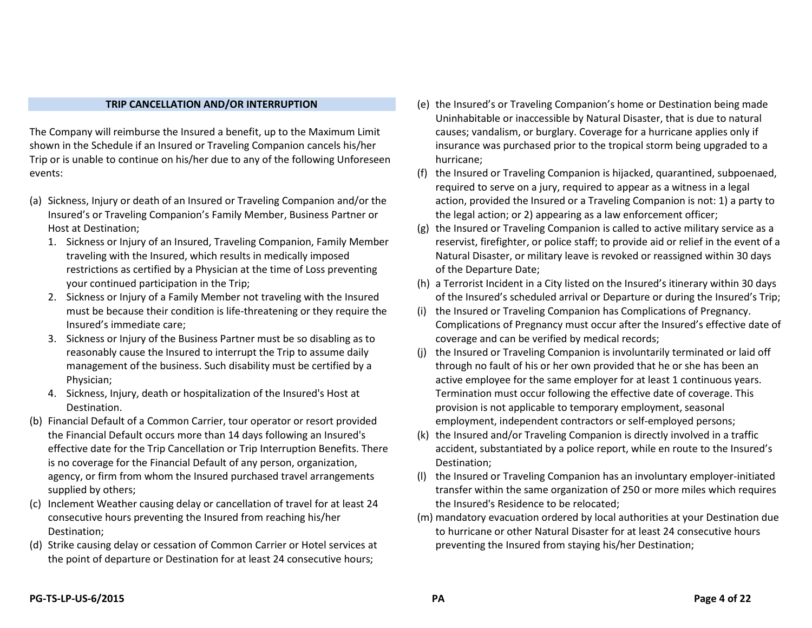#### **TRIP CANCELLATION AND/OR INTERRUPTION**

The Company will reimburse the Insured a benefit, up to the Maximum Limit shown in the Schedule if an Insured or Traveling Companion cancels his/her Trip or is unable to continue on his/her due to any of the following Unforeseen events:

- (a) Sickness, Injury or death of an Insured or Traveling Companion and/or the Insured's or Traveling Companion's Family Member, Business Partner or Host at Destination;
	- 1. Sickness or Injury of an Insured, Traveling Companion, Family Member traveling with the Insured, which results in medically imposed restrictions as certified by a Physician at the time of Loss preventing your continued participation in the Trip;
	- 2. Sickness or Injury of a Family Member not traveling with the Insured must be because their condition is life-threatening or they require the Insured's immediate care;
	- 3. Sickness or Injury of the Business Partner must be so disabling as to reasonably cause the Insured to interrupt the Trip to assume daily management of the business. Such disability must be certified by a Physician;
	- 4. Sickness, Injury, death or hospitalization of the Insured's Host at Destination.
- (b) Financial Default of a Common Carrier, tour operator or resort provided the Financial Default occurs more than 14 days following an Insured's effective date for the Trip Cancellation or Trip Interruption Benefits. There is no coverage for the Financial Default of any person, organization, agency, or firm from whom the Insured purchased travel arrangements supplied by others;
- (c) Inclement Weather causing delay or cancellation of travel for at least 24 consecutive hours preventing the Insured from reaching his/her Destination;
- (d) Strike causing delay or cessation of Common Carrier or Hotel services at the point of departure or Destination for at least 24 consecutive hours;
- (e) the Insured's or Traveling Companion's home or Destination being made Uninhabitable or inaccessible by Natural Disaster, that is due to natural causes; vandalism, or burglary. Coverage for a hurricane applies only if insurance was purchased prior to the tropical storm being upgraded to a hurricane;
- (f) the Insured or Traveling Companion is hijacked, quarantined, subpoenaed, required to serve on a jury, required to appear as a witness in a legal action, provided the Insured or a Traveling Companion is not: 1) a party to the legal action; or 2) appearing as a law enforcement officer;
- (g) the Insured or Traveling Companion is called to active military service as a reservist, firefighter, or police staff; to provide aid or relief in the event of a Natural Disaster, or military leave is revoked or reassigned within 30 days of the Departure Date;
- (h) a Terrorist Incident in a City listed on the Insured's itinerary within 30 days of the Insured's scheduled arrival or Departure or during the Insured's Trip;
- (i) the Insured or Traveling Companion has Complications of Pregnancy. Complications of Pregnancy must occur after the Insured's effective date of coverage and can be verified by medical records;
- (j) the Insured or Traveling Companion is involuntarily terminated or laid off through no fault of his or her own provided that he or she has been an active employee for the same employer for at least 1 continuous years. Termination must occur following the effective date of coverage. This provision is not applicable to temporary employment, seasonal employment, independent contractors or self-employed persons;
- (k) the Insured and/or Traveling Companion is directly involved in a traffic accident, substantiated by a police report, while en route to the Insured's Destination;
- (l) the Insured or Traveling Companion has an involuntary employer-initiated transfer within the same organization of 250 or more miles which requires the Insured's Residence to be relocated;
- (m) mandatory evacuation ordered by local authorities at your Destination due to hurricane or other Natural Disaster for at least 24 consecutive hours preventing the Insured from staying his/her Destination;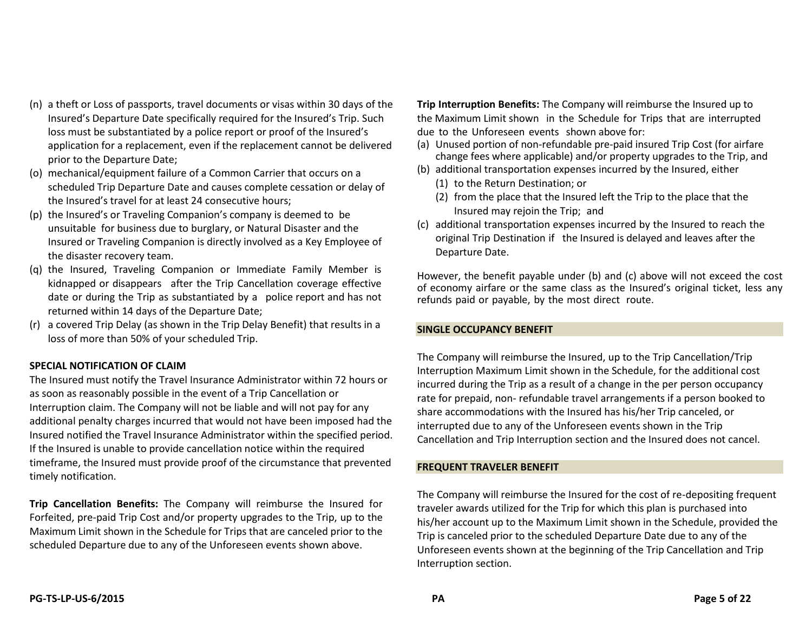- (n) a theft or Loss of passports, travel documents or visas within 30 days of the Insured's Departure Date specifically required for the Insured's Trip. Such loss must be substantiated by a police report or proof of the Insured's application for a replacement, even if the replacement cannot be delivered prior to the Departure Date;
- (o) mechanical/equipment failure of a Common Carrier that occurs on a scheduled Trip Departure Date and causes complete cessation or delay of the Insured's travel for at least 24 consecutive hours;
- (p) the Insured's or Traveling Companion's company is deemed to be unsuitable for business due to burglary, or Natural Disaster and the Insured or Traveling Companion is directly involved as a Key Employee of the disaster recovery team.
- (q) the Insured, Traveling Companion or Immediate Family Member is kidnapped or disappears after the Trip Cancellation coverage effective date or during the Trip as substantiated by a police report and has not returned within 14 days of the Departure Date;
- (r) a covered Trip Delay (as shown in the Trip Delay Benefit) that results in a loss of more than 50% of your scheduled Trip.

#### **SPECIAL NOTIFICATION OF CLAIM**

The Insured must notify the Travel Insurance Administrator within 72 hours or as soon as reasonably possible in the event of a Trip Cancellation or Interruption claim. The Company will not be liable and will not pay for any additional penalty charges incurred that would not have been imposed had the Insured notified the Travel Insurance Administrator within the specified period. If the Insured is unable to provide cancellation notice within the required timeframe, the Insured must provide proof of the circumstance that prevented timely notification.

**Trip Cancellation Benefits:** The Company will reimburse the Insured for Forfeited, pre-paid Trip Cost and/or property upgrades to the Trip, up to the Maximum Limit shown in the Schedule for Trips that are canceled prior to the scheduled Departure due to any of the Unforeseen events shown above.

**Trip Interruption Benefits:** The Company will reimburse the Insured up to the Maximum Limit shown in the Schedule for Trips that are interrupted due to the Unforeseen events shown above for:

- (a) Unused portion of non-refundable pre-paid insured Trip Cost (for airfare change fees where applicable) and/or property upgrades to the Trip, and
- (b) additional transportation expenses incurred by the Insured, either
	- (1) to the Return Destination; or
	- (2) from the place that the Insured left the Trip to the place that the Insured may rejoin the Trip; and
- (c) additional transportation expenses incurred by the Insured to reach the original Trip Destination if the Insured is delayed and leaves after the Departure Date.

However, the benefit payable under (b) and (c) above will not exceed the cost of economy airfare or the same class as the Insured's original ticket, less any refunds paid or payable, by the most direct route.

#### **SINGLE OCCUPANCY BENEFIT**

The Company will reimburse the Insured, up to the Trip Cancellation/Trip Interruption Maximum Limit shown in the Schedule, for the additional cost incurred during the Trip as a result of a change in the per person occupancy rate for prepaid, non- refundable travel arrangements if a person booked to share accommodations with the Insured has his/her Trip canceled, or interrupted due to any of the Unforeseen events shown in the Trip Cancellation and Trip Interruption section and the Insured does not cancel.

#### **FREQUENT TRAVELER BENEFIT**

The Company will reimburse the Insured for the cost of re-depositing frequent traveler awards utilized for the Trip for which this plan is purchased into his/her account up to the Maximum Limit shown in the Schedule, provided the Trip is canceled prior to the scheduled Departure Date due to any of the Unforeseen events shown at the beginning of the Trip Cancellation and Trip Interruption section.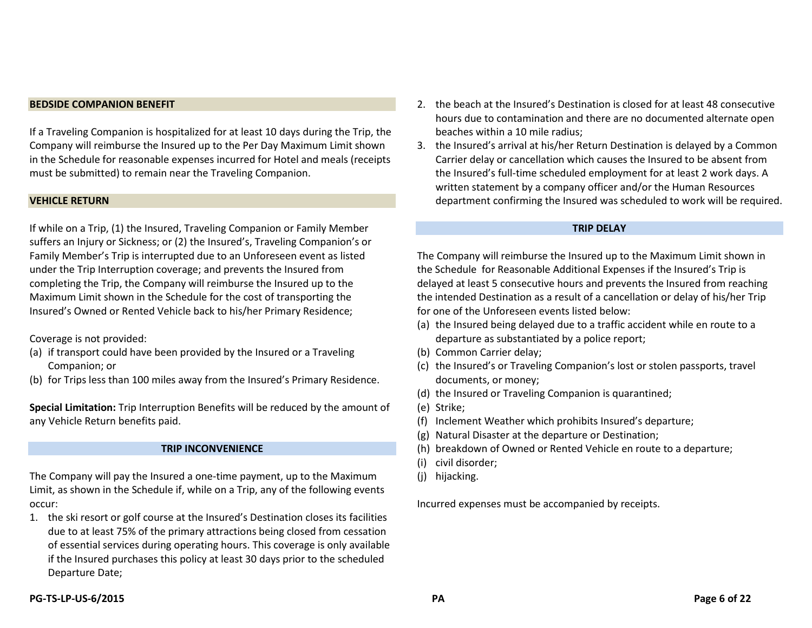#### **BEDSIDE COMPANION BENEFIT**

If a Traveling Companion is hospitalized for at least 10 days during the Trip, the Company will reimburse the Insured up to the Per Day Maximum Limit shown in the Schedule for reasonable expenses incurred for Hotel and meals (receipts must be submitted) to remain near the Traveling Companion.

#### **VEHICLE RETURN**

If while on a Trip, (1) the Insured, Traveling Companion or Family Member suffers an Injury or Sickness; or (2) the Insured's, Traveling Companion's or Family Member's Trip is interrupted due to an Unforeseen event as listed under the Trip Interruption coverage; and prevents the Insured from completing the Trip, the Company will reimburse the Insured up to the Maximum Limit shown in the Schedule for the cost of transporting the Insured's Owned or Rented Vehicle back to his/her Primary Residence;

Coverage is not provided:

- (a) if transport could have been provided by the Insured or a Traveling Companion; or
- (b) for Trips less than 100 miles away from the Insured's Primary Residence.

**Special Limitation:** Trip Interruption Benefits will be reduced by the amount of any Vehicle Return benefits paid.

#### **TRIP INCONVENIENCE**

The Company will pay the Insured a one-time payment, up to the Maximum Limit, as shown in the Schedule if, while on a Trip, any of the following events occur:

1. the ski resort or golf course at the Insured's Destination closes its facilities due to at least 75% of the primary attractions being closed from cessation of essential services during operating hours. This coverage is only available if the Insured purchases this policy at least 30 days prior to the scheduled Departure Date;

- 2. the beach at the Insured's Destination is closed for at least 48 consecutive hours due to contamination and there are no documented alternate open beaches within a 10 mile radius;
- 3. the Insured's arrival at his/her Return Destination is delayed by a Common Carrier delay or cancellation which causes the Insured to be absent from the Insured's full-time scheduled employment for at least 2 work days. A written statement by a company officer and/or the Human Resources department confirming the Insured was scheduled to work will be required.

#### **TRIP DELAY**

The Company will reimburse the Insured up to the Maximum Limit shown in the Schedule for Reasonable Additional Expenses if the Insured's Trip is delayed at least 5 consecutive hours and prevents the Insured from reaching the intended Destination as a result of a cancellation or delay of his/her Trip for one of the Unforeseen events listed below:

- (a) the Insured being delayed due to a traffic accident while en route to a departure as substantiated by a police report;
- (b) Common Carrier delay;
- (c) the Insured's or Traveling Companion's lost or stolen passports, travel documents, or money;
- (d) the Insured or Traveling Companion is quarantined;
- (e) Strike;
- (f) Inclement Weather which prohibits Insured's departure;
- (g) Natural Disaster at the departure or Destination;
- (h) breakdown of Owned or Rented Vehicle en route to a departure;
- (i) civil disorder;
- (j) hijacking.

Incurred expenses must be accompanied by receipts.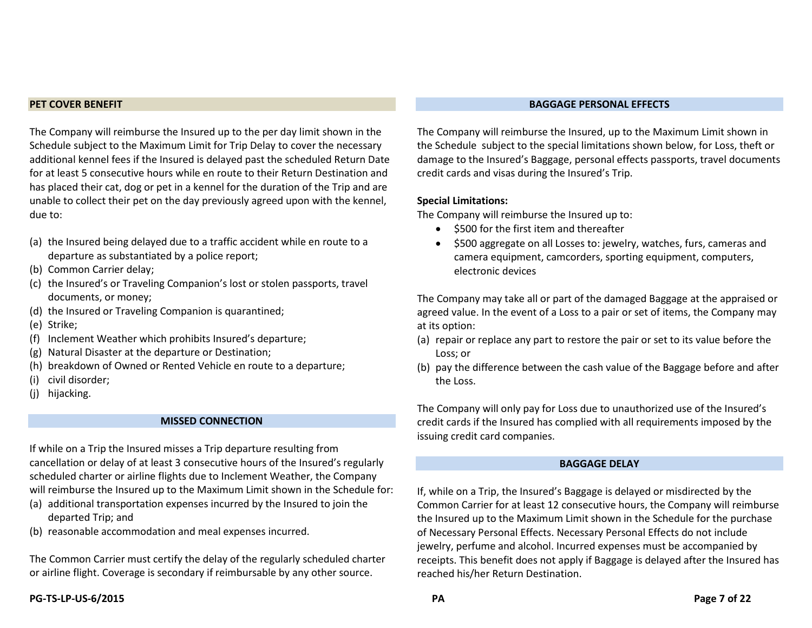#### **PET COVER BENEFIT**

The Company will reimburse the Insured up to the per day limit shown in the Schedule subject to the Maximum Limit for Trip Delay to cover the necessary additional kennel fees if the Insured is delayed past the scheduled Return Date for at least 5 consecutive hours while en route to their Return Destination and has placed their cat, dog or pet in a kennel for the duration of the Trip and are unable to collect their pet on the day previously agreed upon with the kennel, due to:

- (a) the Insured being delayed due to a traffic accident while en route to a departure as substantiated by a police report;
- (b) Common Carrier delay;
- (c) the Insured's or Traveling Companion's lost or stolen passports, travel documents, or money;
- (d) the Insured or Traveling Companion is quarantined;
- (e) Strike;
- (f) Inclement Weather which prohibits Insured's departure;
- (g) Natural Disaster at the departure or Destination;
- (h) breakdown of Owned or Rented Vehicle en route to a departure;
- (i) civil disorder;
- (j) hijacking.

#### **MISSED CONNECTION**

If while on a Trip the Insured misses a Trip departure resulting from cancellation or delay of at least 3 consecutive hours of the Insured's regularly scheduled charter or airline flights due to Inclement Weather, the Company will reimburse the Insured up to the Maximum Limit shown in the Schedule for:

- (a) additional transportation expenses incurred by the Insured to join the departed Trip; and
- (b) reasonable accommodation and meal expenses incurred.

The Common Carrier must certify the delay of the regularly scheduled charter or airline flight. Coverage is secondary if reimbursable by any other source.

**PG-TS-LP-US-6/2015 PA Page 7 of 22**

#### **BAGGAGE PERSONAL EFFECTS**

The Company will reimburse the Insured, up to the Maximum Limit shown in the Schedule subject to the special limitations shown below, for Loss, theft or damage to the Insured's Baggage, personal effects passports, travel documents credit cards and visas during the Insured's Trip.

#### **Special Limitations:**

The Company will reimburse the Insured up to:

- \$500 for the first item and thereafter
- \$500 aggregate on all Losses to: jewelry, watches, furs, cameras and camera equipment, camcorders, sporting equipment, computers, electronic devices

The Company may take all or part of the damaged Baggage at the appraised or agreed value. In the event of a Loss to a pair or set of items, the Company may at its option:

- (a) repair or replace any part to restore the pair or set to its value before the Loss; or
- (b) pay the difference between the cash value of the Baggage before and after the Loss.

The Company will only pay for Loss due to unauthorized use of the Insured's credit cards if the Insured has complied with all requirements imposed by the issuing credit card companies.

#### **BAGGAGE DELAY**

If, while on a Trip, the Insured's Baggage is delayed or misdirected by the Common Carrier for at least 12 consecutive hours, the Company will reimburse the Insured up to the Maximum Limit shown in the Schedule for the purchase of Necessary Personal Effects. Necessary Personal Effects do not include jewelry, perfume and alcohol. Incurred expenses must be accompanied by receipts. This benefit does not apply if Baggage is delayed after the Insured has reached his/her Return Destination.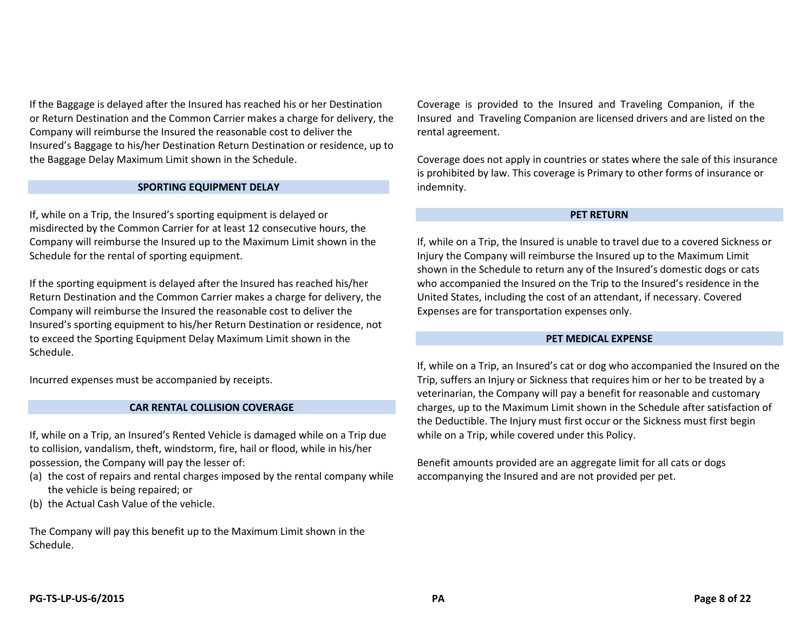If the Baggage is delayed after the Insured has reached his or her Destination or Return Destination and the Common Carrier makes a charge for delivery, the Company will reimburse the Insured the reasonable cost to deliver the Insured's Baggage to his/her Destination Return Destination or residence, up to the Baggage Delay Maximum Limit shown in the Schedule.

#### **SPORTING EQUIPMENT DELAY**

If, while on a Trip, the Insured's sporting equipment is delayed or misdirected by the Common Carrier for at least 12 consecutive hours, the Company will reimburse the Insured up to the Maximum Limit shown in the Schedule for the rental of sporting equipment.

If the sporting equipment is delayed after the Insured has reached his/her Return Destination and the Common Carrier makes a charge for delivery, the Company will reimburse the Insured the reasonable cost to deliver the Insured's sporting equipment to his/her Return Destination or residence, not to exceed the Sporting Equipment Delay Maximum Limit shown in the Schedule.

Incurred expenses must be accompanied by receipts.

#### **CAR RENTAL COLLISION COVERAGE**

If, while on a Trip, an Insured's Rented Vehicle is damaged while on a Trip due to collision, vandalism, theft, windstorm, fire, hail or flood, while in his/her possession, the Company will pay the lesser of:

- (a) the cost of repairs and rental charges imposed by the rental company while the vehicle is being repaired; or
- (b) the Actual Cash Value of the vehicle.

The Company will pay this benefit up to the Maximum Limit shown in the Schedule.

Coverage is provided to the Insured and Traveling Companion, if the Insured and Traveling Companion are licensed drivers and are listed on the rental agreement.

Coverage does not apply in countries or states where the sale of this insurance is prohibited by law. This coverage is Primary to other forms of insurance or indemnity.

#### **PET RETURN**

If, while on a Trip, the Insured is unable to travel due to a covered Sickness or Injury the Company will reimburse the Insured up to the Maximum Limit shown in the Schedule to return any of the Insured's domestic dogs or cats who accompanied the Insured on the Trip to the Insured's residence in the United States, including the cost of an attendant, if necessary. Covered Expenses are for transportation expenses only.

#### **PET MEDICAL EXPENSE**

If, while on a Trip, an Insured's cat or dog who accompanied the Insured on the Trip, suffers an Injury or Sickness that requires him or her to be treated by a veterinarian, the Company will pay a benefit for reasonable and customary charges, up to the Maximum Limit shown in the Schedule after satisfaction of the Deductible. The Injury must first occur or the Sickness must first begin while on a Trip, while covered under this Policy.

Benefit amounts provided are an aggregate limit for all cats or dogs accompanying the Insured and are not provided per pet.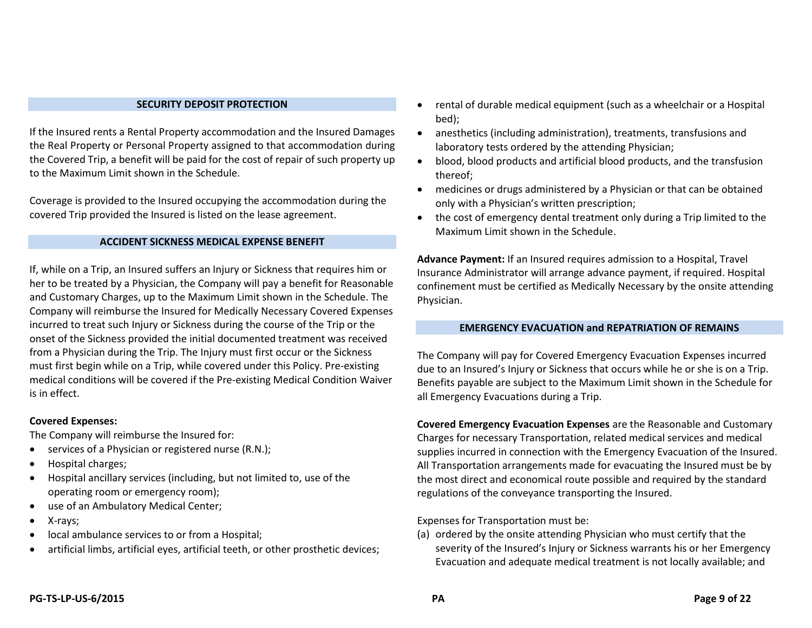#### **SECURITY DEPOSIT PROTECTION**

If the Insured rents a Rental Property accommodation and the Insured Damages the Real Property or Personal Property assigned to that accommodation during the Covered Trip, a benefit will be paid for the cost of repair of such property up to the Maximum Limit shown in the Schedule.

Coverage is provided to the Insured occupying the accommodation during the covered Trip provided the Insured is listed on the lease agreement.

#### **ACCIDENT SICKNESS MEDICAL EXPENSE BENEFIT**

If, while on a Trip, an Insured suffers an Injury or Sickness that requires him or her to be treated by a Physician, the Company will pay a benefit for Reasonable and Customary Charges, up to the Maximum Limit shown in the Schedule. The Company will reimburse the Insured for Medically Necessary Covered Expenses incurred to treat such Injury or Sickness during the course of the Trip or the onset of the Sickness provided the initial documented treatment was received from a Physician during the Trip. The Injury must first occur or the Sickness must first begin while on a Trip, while covered under this Policy. Pre-existing medical conditions will be covered if the Pre-existing Medical Condition Waiver is in effect.

#### **Covered Expenses:**

The Company will reimburse the Insured for:

- services of a Physician or registered nurse (R.N.);
- Hospital charges;
- Hospital ancillary services (including, but not limited to, use of the operating room or emergency room);
- use of an Ambulatory Medical Center;
- X-rays;
- local ambulance services to or from a Hospital;
- artificial limbs, artificial eyes, artificial teeth, or other prosthetic devices;
- rental of durable medical equipment (such as a wheelchair or a Hospital bed);
- anesthetics (including administration), treatments, transfusions and laboratory tests ordered by the attending Physician;
- blood, blood products and artificial blood products, and the transfusion thereof;
- medicines or drugs administered by a Physician or that can be obtained only with a Physician's written prescription;
- the cost of emergency dental treatment only during a Trip limited to the Maximum Limit shown in the Schedule.

**Advance Payment:** If an Insured requires admission to a Hospital, Travel Insurance Administrator will arrange advance payment, if required. Hospital confinement must be certified as Medically Necessary by the onsite attending Physician.

#### **EMERGENCY EVACUATION and REPATRIATION OF REMAINS**

The Company will pay for Covered Emergency Evacuation Expenses incurred due to an Insured's Injury or Sickness that occurs while he or she is on a Trip. Benefits payable are subject to the Maximum Limit shown in the Schedule for all Emergency Evacuations during a Trip.

**Covered Emergency Evacuation Expenses** are the Reasonable and Customary Charges for necessary Transportation, related medical services and medical supplies incurred in connection with the Emergency Evacuation of the Insured. All Transportation arrangements made for evacuating the Insured must be by the most direct and economical route possible and required by the standard regulations of the conveyance transporting the Insured.

Expenses for Transportation must be:

(a) ordered by the onsite attending Physician who must certify that the severity of the Insured's Injury or Sickness warrants his or her Emergency Evacuation and adequate medical treatment is not locally available; and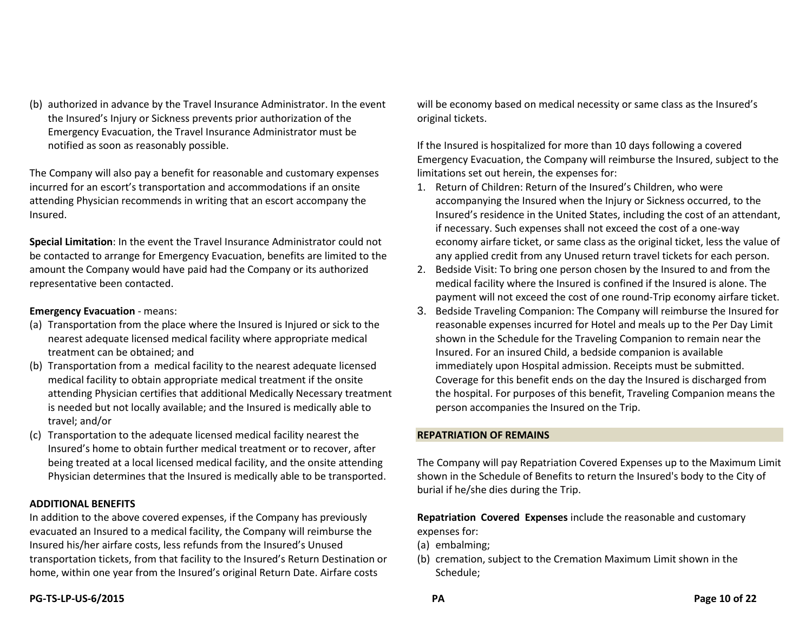(b) authorized in advance by the Travel Insurance Administrator. In the event the Insured's Injury or Sickness prevents prior authorization of the Emergency Evacuation, the Travel Insurance Administrator must be notified as soon as reasonably possible.

The Company will also pay a benefit for reasonable and customary expenses incurred for an escort's transportation and accommodations if an onsite attending Physician recommends in writing that an escort accompany the Insured.

**Special Limitation**: In the event the Travel Insurance Administrator could not be contacted to arrange for Emergency Evacuation, benefits are limited to the amount the Company would have paid had the Company or its authorized representative been contacted.

#### **Emergency Evacuation** - means:

- (a) Transportation from the place where the Insured is Injured or sick to the nearest adequate licensed medical facility where appropriate medical treatment can be obtained; and
- (b) Transportation from a medical facility to the nearest adequate licensed medical facility to obtain appropriate medical treatment if the onsite attending Physician certifies that additional Medically Necessary treatment is needed but not locally available; and the Insured is medically able to travel; and/or
- (c) Transportation to the adequate licensed medical facility nearest the Insured's home to obtain further medical treatment or to recover, after being treated at a local licensed medical facility, and the onsite attending Physician determines that the Insured is medically able to be transported.

#### **ADDITIONAL BENEFITS**

In addition to the above covered expenses, if the Company has previously evacuated an Insured to a medical facility, the Company will reimburse the Insured his/her airfare costs, less refunds from the Insured's Unused transportation tickets, from that facility to the Insured's Return Destination or home, within one year from the Insured's original Return Date. Airfare costs

will be economy based on medical necessity or same class as the Insured's original tickets.

If the Insured is hospitalized for more than 10 days following a covered Emergency Evacuation, the Company will reimburse the Insured, subject to the limitations set out herein, the expenses for:

- 1. Return of Children: Return of the Insured's Children, who were accompanying the Insured when the Injury or Sickness occurred, to the Insured's residence in the United States, including the cost of an attendant, if necessary. Such expenses shall not exceed the cost of a one-way economy airfare ticket, or same class as the original ticket, less the value of any applied credit from any Unused return travel tickets for each person.
- 2. Bedside Visit: To bring one person chosen by the Insured to and from the medical facility where the Insured is confined if the Insured is alone. The payment will not exceed the cost of one round-Trip economy airfare ticket.
- 3. Bedside Traveling Companion: The Company will reimburse the Insured for reasonable expenses incurred for Hotel and meals up to the Per Day Limit shown in the Schedule for the Traveling Companion to remain near the Insured. For an insured Child, a bedside companion is available immediately upon Hospital admission. Receipts must be submitted. Coverage for this benefit ends on the day the Insured is discharged from the hospital. For purposes of this benefit, Traveling Companion means the person accompanies the Insured on the Trip.

#### **REPATRIATION OF REMAINS**

The Company will pay Repatriation Covered Expenses up to the Maximum Limit shown in the Schedule of Benefits to return the Insured's body to the City of burial if he/she dies during the Trip.

**Repatriation Covered Expenses** include the reasonable and customary expenses for:

- (a) embalming;
- (b) cremation, subject to the Cremation Maximum Limit shown in the Schedule;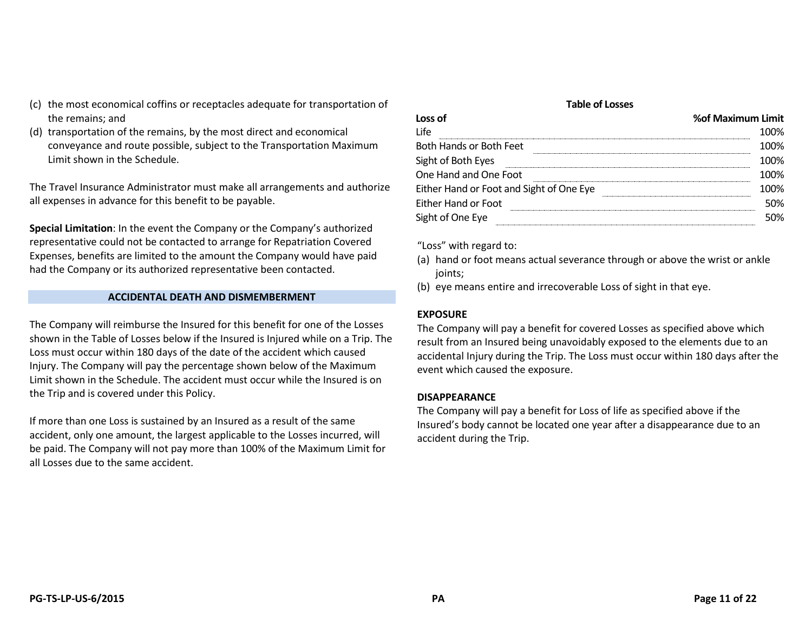- (c) the most economical coffins or receptacles adequate for transportation of the remains; and
- (d) transportation of the remains, by the most direct and economical conveyance and route possible, subject to the Transportation Maximum Limit shown in the Schedule.

The Travel Insurance Administrator must make all arrangements and authorize all expenses in advance for this benefit to be payable.

**Special Limitation**: In the event the Company or the Company's authorized representative could not be contacted to arrange for Repatriation Covered Expenses, benefits are limited to the amount the Company would have paid had the Company or its authorized representative been contacted.

#### **ACCIDENTAL DEATH AND DISMEMBERMENT**

The Company will reimburse the Insured for this benefit for one of the Losses shown in the Table of Losses below if the Insured is Injured while on a Trip. The Loss must occur within 180 days of the date of the accident which caused Injury. The Company will pay the percentage shown below of the Maximum Limit shown in the Schedule. The accident must occur while the Insured is on the Trip and is covered under this Policy.

If more than one Loss is sustained by an Insured as a result of the same accident, only one amount, the largest applicable to the Losses incurred, will be paid. The Company will not pay more than 100% of the Maximum Limit for all Losses due to the same accident.

#### **Table of Losses**

| % of Maximum Limit |
|--------------------|
| 100%               |
| 100%               |
| 100%               |
| 100%               |
| 1በበ%               |
| 50%                |
| 50%                |
|                    |

"Loss" with regard to:

- (a) hand or foot means actual severance through or above the wrist or ankle joints;
- (b) eye means entire and irrecoverable Loss of sight in that eye.

#### **EXPOSURE**

The Company will pay a benefit for covered Losses as specified above which result from an Insured being unavoidably exposed to the elements due to an accidental Injury during the Trip. The Loss must occur within 180 days after the event which caused the exposure.

#### **DISAPPEARANCE**

The Company will pay a benefit for Loss of life as specified above if the Insured's body cannot be located one year after a disappearance due to an accident during the Trip.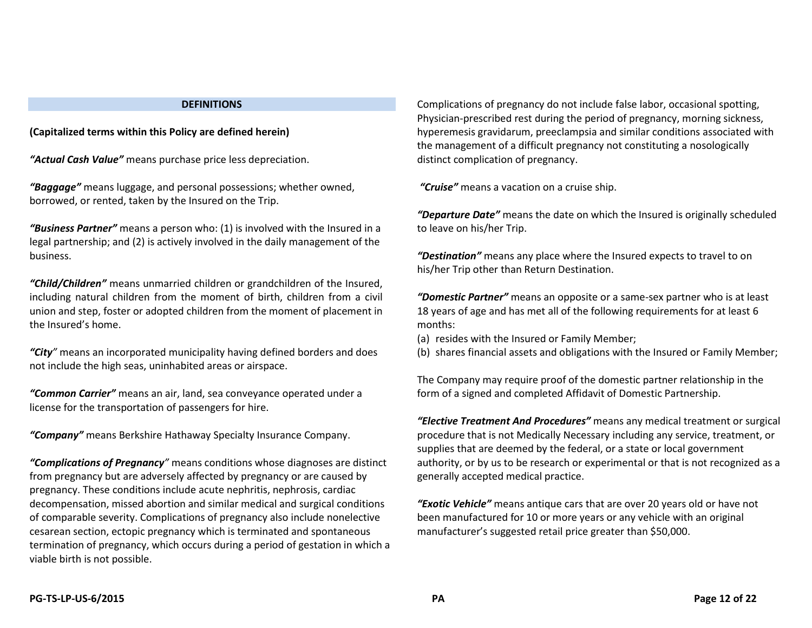#### **DEFINITIONS**

**(Capitalized terms within this Policy are defined herein)**

*"Actual Cash Value"* means purchase price less depreciation.

*"Baggage"* means luggage, and personal possessions; whether owned, borrowed, or rented, taken by the Insured on the Trip.

*"Business Partner"* means a person who: (1) is involved with the Insured in a legal partnership; and (2) is actively involved in the daily management of the business.

*"Child/Children"* means unmarried children or grandchildren of the Insured, including natural children from the moment of birth, children from a civil union and step, foster or adopted children from the moment of placement in the Insured's home.

*"City"* means an incorporated municipality having defined borders and does not include the high seas, uninhabited areas or airspace.

*"Common Carrier"* means an air, land, sea conveyance operated under a license for the transportation of passengers for hire.

*"Company"* means Berkshire Hathaway Specialty Insurance Company.

*"Complications of Pregnancy"* means conditions whose diagnoses are distinct from pregnancy but are adversely affected by pregnancy or are caused by pregnancy. These conditions include acute nephritis, nephrosis, cardiac decompensation, missed abortion and similar medical and surgical conditions of comparable severity. Complications of pregnancy also include nonelective cesarean section, ectopic pregnancy which is terminated and spontaneous termination of pregnancy, which occurs during a period of gestation in which a viable birth is not possible.

Complications of pregnancy do not include false labor, occasional spotting, Physician-prescribed rest during the period of pregnancy, morning sickness, hyperemesis gravidarum, preeclampsia and similar conditions associated with the management of a difficult pregnancy not constituting a nosologically distinct complication of pregnancy.

*"Cruise"* means a vacation on a cruise ship.

*"Departure Date"* means the date on which the Insured is originally scheduled to leave on his/her Trip.

*"Destination"* means any place where the Insured expects to travel to on his/her Trip other than Return Destination.

*"Domestic Partner"* means an opposite or a same-sex partner who is at least 18 years of age and has met all of the following requirements for at least 6 months:

(a) resides with the Insured or Family Member;

(b) shares financial assets and obligations with the Insured or Family Member;

The Company may require proof of the domestic partner relationship in the form of a signed and completed Affidavit of Domestic Partnership.

*"Elective Treatment And Procedures"* means any medical treatment or surgical procedure that is not Medically Necessary including any service, treatment, or supplies that are deemed by the federal, or a state or local government authority, or by us to be research or experimental or that is not recognized as a generally accepted medical practice.

*"Exotic Vehicle"* means antique cars that are over 20 years old or have not been manufactured for 10 or more years or any vehicle with an original manufacturer's suggested retail price greater than \$50,000.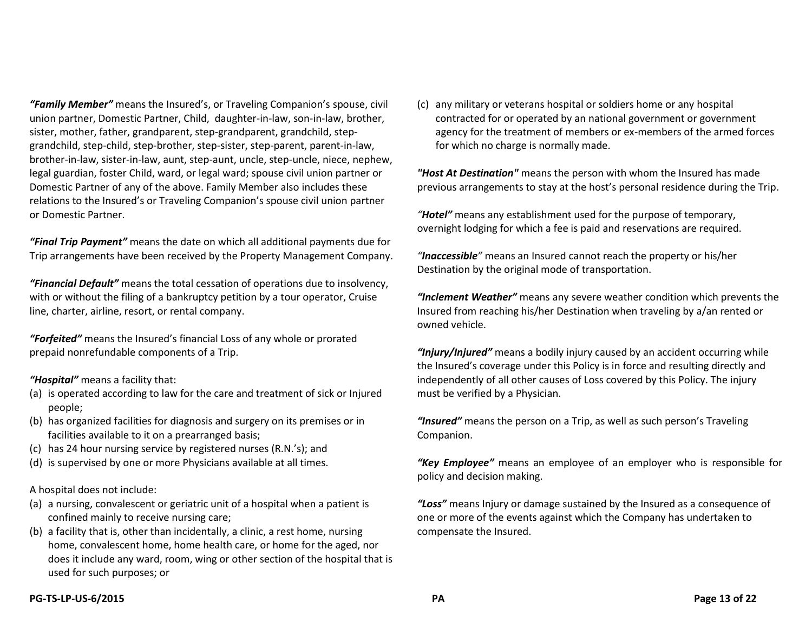*"Family Member"* means the Insured's, or Traveling Companion's spouse, civil union partner, Domestic Partner, Child, daughter-in-law, son-in-law, brother, sister, mother, father, grandparent, step-grandparent, grandchild, stepgrandchild, step-child, step-brother, step-sister, step-parent, parent-in-law, brother-in-law, sister-in-law, aunt, step-aunt, uncle, step-uncle, niece, nephew, legal guardian, foster Child, ward, or legal ward; spouse civil union partner or Domestic Partner of any of the above. Family Member also includes these relations to the Insured's or Traveling Companion's spouse civil union partner or Domestic Partner.

*"Final Trip Payment"* means the date on which all additional payments due for Trip arrangements have been received by the Property Management Company.

*"Financial Default"* means the total cessation of operations due to insolvency, with or without the filing of a bankruptcy petition by a tour operator, Cruise line, charter, airline, resort, or rental company.

*"Forfeited"* means the Insured's financial Loss of any whole or prorated prepaid nonrefundable components of a Trip.

*"Hospital"* means a facility that:

- (a) is operated according to law for the care and treatment of sick or Injured people;
- (b) has organized facilities for diagnosis and surgery on its premises or in facilities available to it on a prearranged basis;
- (c) has 24 hour nursing service by registered nurses (R.N.'s); and
- (d) is supervised by one or more Physicians available at all times.

A hospital does not include:

- (a) a nursing, convalescent or geriatric unit of a hospital when a patient is confined mainly to receive nursing care;
- (b) a facility that is, other than incidentally, a clinic, a rest home, nursing home, convalescent home, home health care, or home for the aged, nor does it include any ward, room, wing or other section of the hospital that is used for such purposes; or

(c) any military or veterans hospital or soldiers home or any hospital contracted for or operated by an national government or government agency for the treatment of members or ex-members of the armed forces for which no charge is normally made.

*"Host At Destination"* means the person with whom the Insured has made previous arrangements to stay at the host's personal residence during the Trip.

*"Hotel"* means any establishment used for the purpose of temporary, overnight lodging for which a fee is paid and reservations are required.

*"Inaccessible"* means an Insured cannot reach the property or his/her Destination by the original mode of transportation.

*"Inclement Weather"* means any severe weather condition which prevents the Insured from reaching his/her Destination when traveling by a/an rented or owned vehicle.

*"Injury/Injured"* means a bodily injury caused by an accident occurring while the Insured's coverage under this Policy is in force and resulting directly and independently of all other causes of Loss covered by this Policy. The injury must be verified by a Physician.

*"Insured"* means the person on a Trip, as well as such person's Traveling Companion.

*"Key Employee"* means an employee of an employer who is responsible for policy and decision making.

*"Loss"* means Injury or damage sustained by the Insured as a consequence of one or more of the events against which the Company has undertaken to compensate the Insured.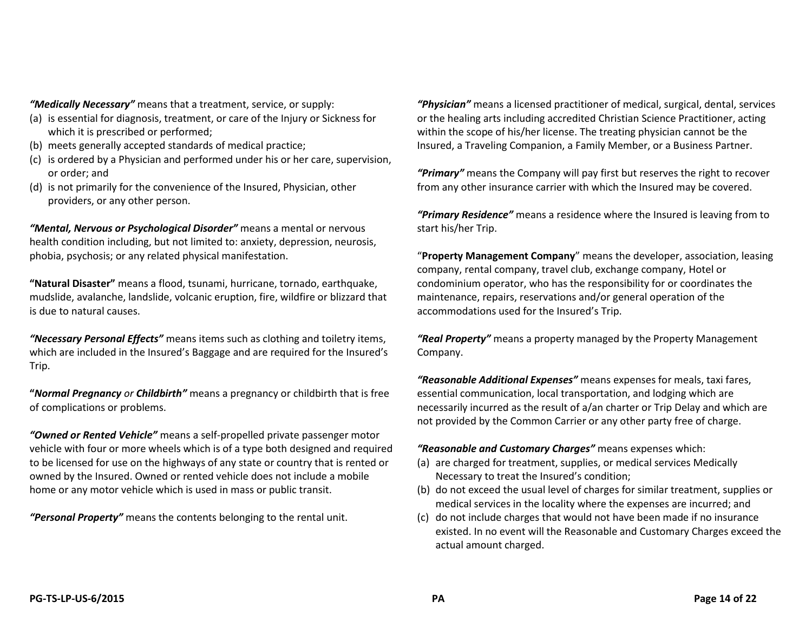*"Medically Necessary"* means that a treatment, service, or supply:

- (a) is essential for diagnosis, treatment, or care of the Injury or Sickness for which it is prescribed or performed;
- (b) meets generally accepted standards of medical practice;
- (c) is ordered by a Physician and performed under his or her care, supervision, or order; and
- (d) is not primarily for the convenience of the Insured, Physician, other providers, or any other person.

*"Mental, Nervous or Psychological Disorder"* means a mental or nervous health condition including, but not limited to: anxiety, depression, neurosis, phobia, psychosis; or any related physical manifestation.

**"Natural Disaster"** means a flood, tsunami, hurricane, tornado, earthquake, mudslide, avalanche, landslide, volcanic eruption, fire, wildfire or blizzard that is due to natural causes.

*"Necessary Personal Effects"* means items such as clothing and toiletry items, which are included in the Insured's Baggage and are required for the Insured's Trip.

**"***Normal Pregnancy or Childbirth"* means a pregnancy or childbirth that is free of complications or problems.

*"Owned or Rented Vehicle"* means a self-propelled private passenger motor vehicle with four or more wheels which is of a type both designed and required to be licensed for use on the highways of any state or country that is rented or owned by the Insured. Owned or rented vehicle does not include a mobile home or any motor vehicle which is used in mass or public transit.

*"Personal Property"* means the contents belonging to the rental unit.

*"Physician"* means a licensed practitioner of medical, surgical, dental, services or the healing arts including accredited Christian Science Practitioner, acting within the scope of his/her license. The treating physician cannot be the Insured, a Traveling Companion, a Family Member, or a Business Partner.

*"Primary"* means the Company will pay first but reserves the right to recover from any other insurance carrier with which the Insured may be covered.

*"Primary Residence"* means a residence where the Insured is leaving from to start his/her Trip.

"**Property Management Company**" means the developer, association, leasing company, rental company, travel club, exchange company, Hotel or condominium operator, who has the responsibility for or coordinates the maintenance, repairs, reservations and/or general operation of the accommodations used for the Insured's Trip.

*"Real Property"* means a property managed by the Property Management Company.

*"Reasonable Additional Expenses"* means expenses for meals, taxi fares, essential communication, local transportation, and lodging which are necessarily incurred as the result of a/an charter or Trip Delay and which are not provided by the Common Carrier or any other party free of charge.

*"Reasonable and Customary Charges"* means expenses which:

- (a) are charged for treatment, supplies, or medical services Medically Necessary to treat the Insured's condition;
- (b) do not exceed the usual level of charges for similar treatment, supplies or medical services in the locality where the expenses are incurred; and
- (c) do not include charges that would not have been made if no insurance existed. In no event will the Reasonable and Customary Charges exceed the actual amount charged.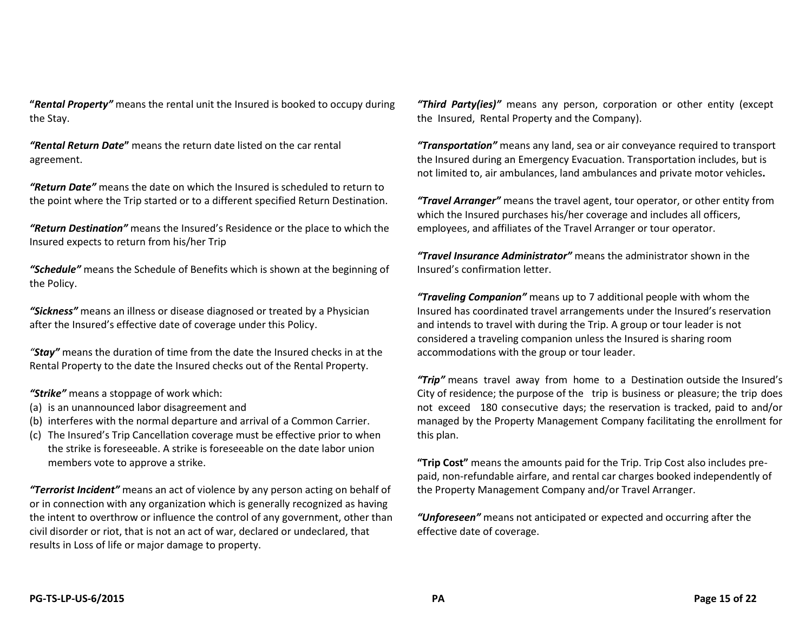**"***Rental Property"* means the rental unit the Insured is booked to occupy during the Stay.

*"Rental Return Date***"** means the return date listed on the car rental agreement.

*"Return Date"* means the date on which the Insured is scheduled to return to the point where the Trip started or to a different specified Return Destination.

*"Return Destination"* means the Insured's Residence or the place to which the Insured expects to return from his/her Trip

*"Schedule"* means the Schedule of Benefits which is shown at the beginning of the Policy.

*"Sickness"* means an illness or disease diagnosed or treated by a Physician after the Insured's effective date of coverage under this Policy.

*"Stay"* means the duration of time from the date the Insured checks in at the Rental Property to the date the Insured checks out of the Rental Property.

*"Strike"* means a stoppage of work which:

- (a) is an unannounced labor disagreement and
- (b) interferes with the normal departure and arrival of a Common Carrier.
- (c) The Insured's Trip Cancellation coverage must be effective prior to when the strike is foreseeable. A strike is foreseeable on the date labor union members vote to approve a strike.

*"Terrorist Incident"* means an act of violence by any person acting on behalf of or in connection with any organization which is generally recognized as having the intent to overthrow or influence the control of any government, other than civil disorder or riot, that is not an act of war, declared or undeclared, that results in Loss of life or major damage to property.

*"Third Party(ies)"*means any person, corporation or other entity (except the Insured, Rental Property and the Company).

*"Transportation"* means any land, sea or air conveyance required to transport the Insured during an Emergency Evacuation. Transportation includes, but is not limited to, air ambulances, land ambulances and private motor vehicles**.**

*"Travel Arranger"* means the travel agent, tour operator, or other entity from which the Insured purchases his/her coverage and includes all officers, employees, and affiliates of the Travel Arranger or tour operator.

*"Travel Insurance Administrator"* means the administrator shown in the Insured's confirmation letter.

*"Traveling Companion"* means up to 7 additional people with whom the Insured has coordinated travel arrangements under the Insured's reservation and intends to travel with during the Trip. A group or tour leader is not considered a traveling companion unless the Insured is sharing room accommodations with the group or tour leader.

*"Trip"* means travel away from home to a Destination outside the Insured's City of residence; the purpose of the trip is business or pleasure; the trip does not exceed 180 consecutive days; the reservation is tracked, paid to and/or managed by the Property Management Company facilitating the enrollment for this plan.

**"Trip Cost"** means the amounts paid for the Trip. Trip Cost also includes prepaid, non-refundable airfare, and rental car charges booked independently of the Property Management Company and/or Travel Arranger.

*"Unforeseen"* means not anticipated or expected and occurring after the effective date of coverage.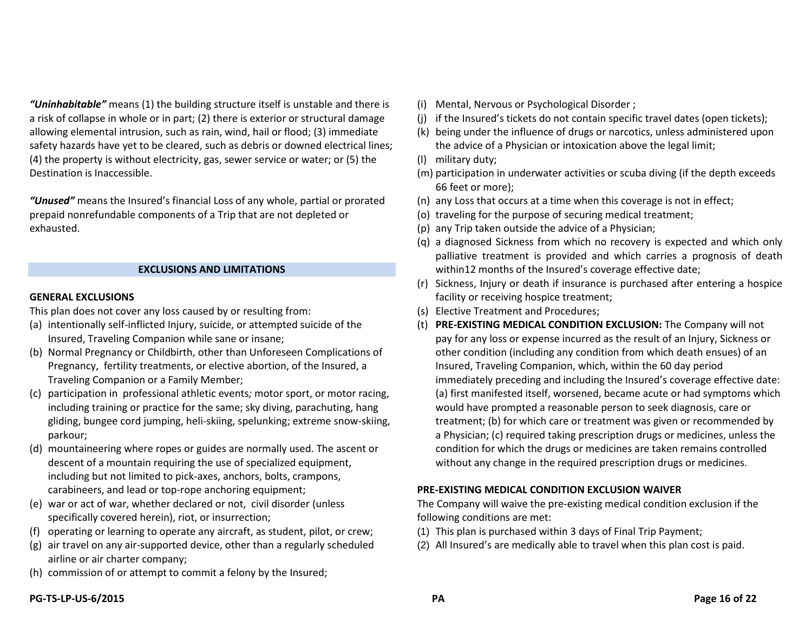*"Uninhabitable"* means (1) the building structure itself is unstable and there is a risk of collapse in whole or in part; (2) there is exterior or structural damage allowing elemental intrusion, such as rain, wind, hail or flood; (3) immediate safety hazards have yet to be cleared, such as debris or downed electrical lines; (4) the property is without electricity, gas, sewer service or water; or (5) the Destination is Inaccessible.

*"Unused"* means the Insured's financial Loss of any whole, partial or prorated prepaid nonrefundable components of a Trip that are not depleted or exhausted.

#### **EXCLUSIONS AND LIMITATIONS**

#### **GENERAL EXCLUSIONS**

This plan does not cover any loss caused by or resulting from:

- (a) intentionally self-inflicted Injury, suicide, or attempted suicide of the Insured, Traveling Companion while sane or insane;
- (b) Normal Pregnancy or Childbirth, other than Unforeseen Complications of Pregnancy, fertility treatments, or elective abortion, of the Insured, a Traveling Companion or a Family Member;
- (c) participation in professional athletic events*;* motor sport, or motor racing, including training or practice for the same; sky diving, parachuting, hang gliding, bungee cord jumping, heli-skiing, spelunking; extreme snow-skiing, parkour;
- (d) mountaineering where ropes or guides are normally used. The ascent or descent of a mountain requiring the use of specialized equipment, including but not limited to pick-axes, anchors, bolts, crampons, carabineers, and lead or top-rope anchoring equipment;
- (e) war or act of war, whether declared or not, civil disorder (unless specifically covered herein), riot, or insurrection;
- (f) operating or learning to operate any aircraft, as student, pilot, or crew;
- (g) air travel on any air-supported device, other than a regularly scheduled airline or air charter company;
- (h) commission of or attempt to commit a felony by the Insured;
- (i) Mental, Nervous or Psychological Disorder ;
- (j) if the Insured's tickets do not contain specific travel dates (open tickets);
- (k) being under the influence of drugs or narcotics, unless administered upon the advice of a Physician or intoxication above the legal limit;
- (l) military duty;
- (m) participation in underwater activities or scuba diving (if the depth exceeds 66 feet or more);
- (n) any Loss that occurs at a time when this coverage is not in effect;
- (o) traveling for the purpose of securing medical treatment;
- (p) any Trip taken outside the advice of a Physician;
- (q) a diagnosed Sickness from which no recovery is expected and which only palliative treatment is provided and which carries a prognosis of death within12 months of the Insured's coverage effective date;
- (r) Sickness, Injury or death if insurance is purchased after entering a hospice facility or receiving hospice treatment;
- (s) Elective Treatment and Procedures;
- (t) **PRE-EXISTING MEDICAL CONDITION EXCLUSION:** The Company will not pay for any loss or expense incurred as the result of an Injury, Sickness or other condition (including any condition from which death ensues) of an Insured, Traveling Companion, which, within the 60 day period immediately preceding and including the Insured's coverage effective date: (a) first manifested itself, worsened, became acute or had symptoms which would have prompted a reasonable person to seek diagnosis, care or treatment; (b) for which care or treatment was given or recommended by a Physician; (c) required taking prescription drugs or medicines, unless the condition for which the drugs or medicines are taken remains controlled without any change in the required prescription drugs or medicines.

#### **PRE-EXISTING MEDICAL CONDITION EXCLUSION WAIVER**

The Company will waive the pre-existing medical condition exclusion if the following conditions are met:

- (1) This plan is purchased within 3 days of Final Trip Payment;
- (2) All Insured's are medically able to travel when this plan cost is paid.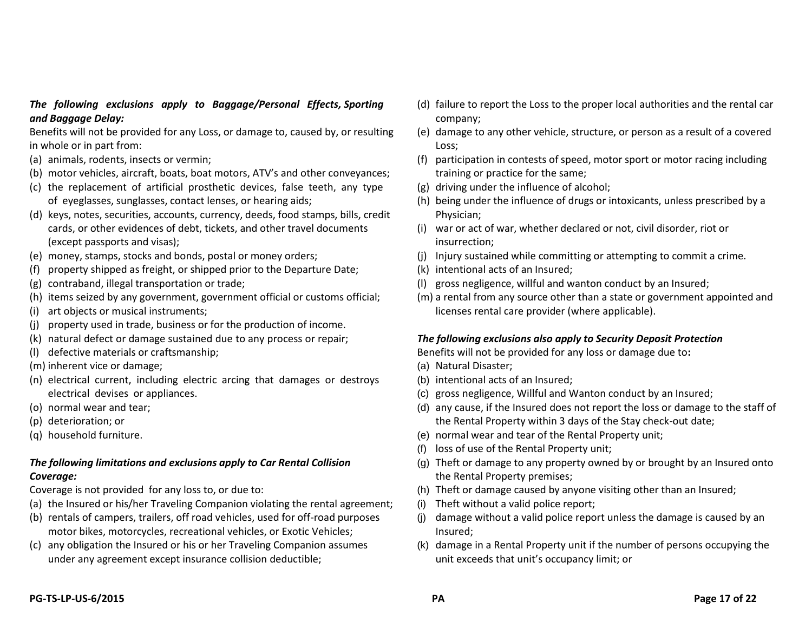#### *The following exclusions apply to Baggage/Personal Effects, Sporting and Baggage Delay:*

Benefits will not be provided for any Loss, or damage to, caused by, or resulting in whole or in part from:

- (a) animals, rodents, insects or vermin;
- (b) motor vehicles, aircraft, boats, boat motors, ATV's and other conveyances;
- (c) the replacement of artificial prosthetic devices, false teeth, any type of eyeglasses, sunglasses, contact lenses, or hearing aids;
- (d) keys, notes, securities, accounts, currency, deeds, food stamps, bills, credit cards, or other evidences of debt, tickets, and other travel documents (except passports and visas);
- (e) money, stamps, stocks and bonds, postal or money orders;
- (f) property shipped as freight, or shipped prior to the Departure Date;
- (g) contraband, illegal transportation or trade;
- (h) items seized by any government, government official or customs official;
- (i) art objects or musical instruments;
- (j) property used in trade, business or for the production of income.
- (k) natural defect or damage sustained due to any process or repair;
- (l) defective materials or craftsmanship;
- (m) inherent vice or damage;
- (n) electrical current, including electric arcing that damages or destroys electrical devises or appliances.
- (o) normal wear and tear;
- (p) deterioration; or
- (q) household furniture.

### *The following limitations and exclusions apply to Car Rental Collision Coverage:*

Coverage is not provided for any loss to, or due to:

- (a) the Insured or his/her Traveling Companion violating the rental agreement;
- (b) rentals of campers, trailers, off road vehicles, used for off-road purposes motor bikes, motorcycles, recreational vehicles, or Exotic Vehicles;
- (c) any obligation the Insured or his or her Traveling Companion assumes under any agreement except insurance collision deductible;
- (d) failure to report the Loss to the proper local authorities and the rental car company;
- (e) damage to any other vehicle, structure, or person as a result of a covered Loss;
- (f) participation in contests of speed, motor sport or motor racing including training or practice for the same;
- (g) driving under the influence of alcohol;
- (h) being under the influence of drugs or intoxicants, unless prescribed by a Physician;
- (i) war or act of war, whether declared or not, civil disorder, riot or insurrection;
- (j) Injury sustained while committing or attempting to commit a crime.
- (k) intentional acts of an Insured;
- (l) gross negligence, willful and wanton conduct by an Insured;
- (m) a rental from any source other than a state or government appointed and licenses rental care provider (where applicable).

#### *The following exclusions also apply to Security Deposit Protection*

Benefits will not be provided for any loss or damage due to**:**

- (a) Natural Disaster;
- (b) intentional acts of an Insured;
- (c) gross negligence, Willful and Wanton conduct by an Insured;
- (d) any cause, if the Insured does not report the loss or damage to the staff of the Rental Property within 3 days of the Stay check-out date;
- (e) normal wear and tear of the Rental Property unit;
- (f) loss of use of the Rental Property unit;
- (g) Theft or damage to any property owned by or brought by an Insured onto the Rental Property premises;
- (h) Theft or damage caused by anyone visiting other than an Insured;
- (i) Theft without a valid police report;
- (j) damage without a valid police report unless the damage is caused by an Insured;
- (k) damage in a Rental Property unit if the number of persons occupying the unit exceeds that unit's occupancy limit; or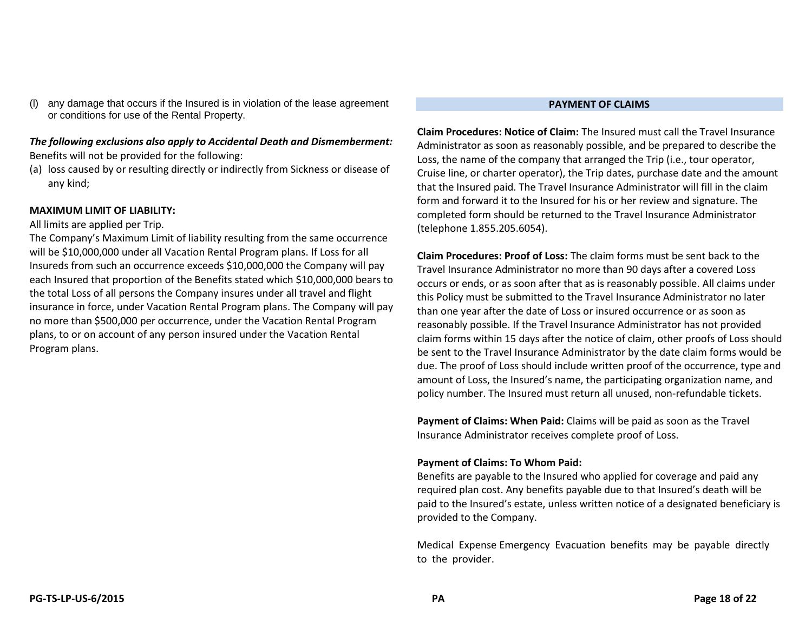any damage that occurs if the Insured is in violation of the lease agreement or conditions for use of the Rental Property.

#### *The following exclusions also apply to Accidental Death and Dismemberment:* Benefits will not be provided for the following:

(a) loss caused by or resulting directly or indirectly from Sickness or disease of any kind;

#### **MAXIMUM LIMIT OF LIABILITY:**

#### All limits are applied per Trip.

The Company's Maximum Limit of liability resulting from the same occurrence will be \$10,000,000 under all Vacation Rental Program plans. If Loss for all Insureds from such an occurrence exceeds \$10,000,000 the Company will pay each Insured that proportion of the Benefits stated which \$10,000,000 bears to the total Loss of all persons the Company insures under all travel and flight insurance in force, under Vacation Rental Program plans. The Company will pay no more than \$500,000 per occurrence, under the Vacation Rental Program plans, to or on account of any person insured under the Vacation Rental Program plans.

#### **PAYMENT OF CLAIMS**

**Claim Procedures: Notice of Claim:** The Insured must call the Travel Insurance Administrator as soon as reasonably possible, and be prepared to describe the Loss, the name of the company that arranged the Trip (i.e., tour operator, Cruise line, or charter operator), the Trip dates, purchase date and the amount that the Insured paid. The Travel Insurance Administrator will fill in the claim form and forward it to the Insured for his or her review and signature. The completed form should be returned to the Travel Insurance Administrator (telephone 1.855.205.6054).

**Claim Procedures: Proof of Loss:** The claim forms must be sent back to the Travel Insurance Administrator no more than 90 days after a covered Loss occurs or ends, or as soon after that as is reasonably possible. All claims under this Policy must be submitted to the Travel Insurance Administrator no later than one year after the date of Loss or insured occurrence or as soon as reasonably possible. If the Travel Insurance Administrator has not provided claim forms within 15 days after the notice of claim, other proofs of Loss should be sent to the Travel Insurance Administrator by the date claim forms would be due. The proof of Loss should include written proof of the occurrence, type and amount of Loss, the Insured's name, the participating organization name, and policy number. The Insured must return all unused, non-refundable tickets.

**Payment of Claims: When Paid:** Claims will be paid as soon as the Travel Insurance Administrator receives complete proof of Loss.

#### **Payment of Claims: To Whom Paid:**

Benefits are payable to the Insured who applied for coverage and paid any required plan cost. Any benefits payable due to that Insured's death will be paid to the Insured's estate, unless written notice of a designated beneficiary is provided to the Company.

Medical Expense Emergency Evacuation benefits may be payable directly to the provider.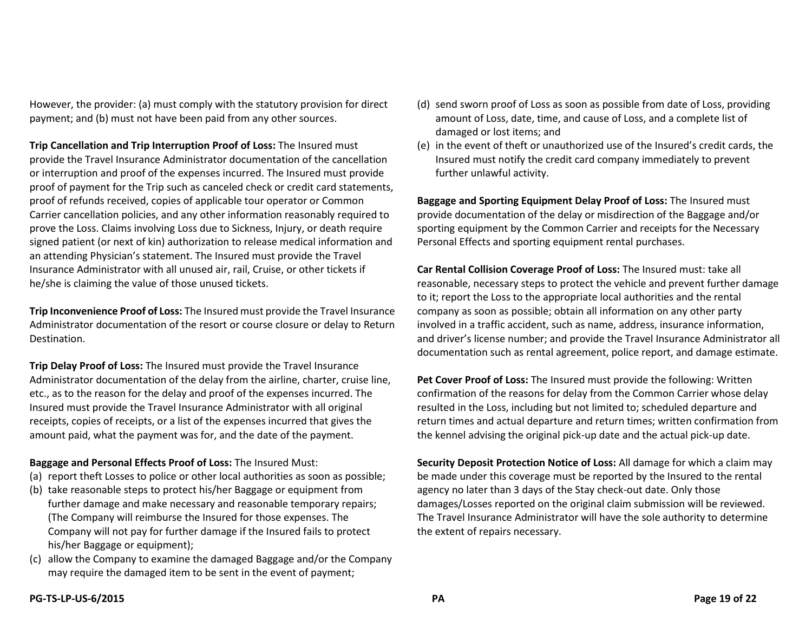However, the provider: (a) must comply with the statutory provision for direct payment; and (b) must not have been paid from any other sources.

**Trip Cancellation and Trip Interruption Proof of Loss:** The Insured must provide the Travel Insurance Administrator documentation of the cancellation or interruption and proof of the expenses incurred. The Insured must provide proof of payment for the Trip such as canceled check or credit card statements, proof of refunds received, copies of applicable tour operator or Common Carrier cancellation policies, and any other information reasonably required to prove the Loss. Claims involving Loss due to Sickness, Injury, or death require signed patient (or next of kin) authorization to release medical information and an attending Physician's statement. The Insured must provide the Travel Insurance Administrator with all unused air, rail, Cruise, or other tickets if he/she is claiming the value of those unused tickets.

**Trip Inconvenience Proof of Loss:** The Insured must provide the Travel Insurance Administrator documentation of the resort or course closure or delay to Return Destination.

**Trip Delay Proof of Loss:** The Insured must provide the Travel Insurance Administrator documentation of the delay from the airline, charter, cruise line, etc., as to the reason for the delay and proof of the expenses incurred. The Insured must provide the Travel Insurance Administrator with all original receipts, copies of receipts, or a list of the expenses incurred that gives the amount paid, what the payment was for, and the date of the payment.

#### **Baggage and Personal Effects Proof of Loss:** The Insured Must:

- (a) report theft Losses to police or other local authorities as soon as possible;
- (b) take reasonable steps to protect his/her Baggage or equipment from further damage and make necessary and reasonable temporary repairs; (The Company will reimburse the Insured for those expenses. The Company will not pay for further damage if the Insured fails to protect his/her Baggage or equipment);
- (c) allow the Company to examine the damaged Baggage and/or the Company may require the damaged item to be sent in the event of payment;
- (d) send sworn proof of Loss as soon as possible from date of Loss, providing amount of Loss, date, time, and cause of Loss, and a complete list of damaged or lost items; and
- (e) in the event of theft or unauthorized use of the Insured's credit cards, the Insured must notify the credit card company immediately to prevent further unlawful activity.

**Baggage and Sporting Equipment Delay Proof of Loss:** The Insured must provide documentation of the delay or misdirection of the Baggage and/or sporting equipment by the Common Carrier and receipts for the Necessary Personal Effects and sporting equipment rental purchases.

**Car Rental Collision Coverage Proof of Loss:** The Insured must: take all reasonable, necessary steps to protect the vehicle and prevent further damage to it; report the Loss to the appropriate local authorities and the rental company as soon as possible; obtain all information on any other party involved in a traffic accident, such as name, address, insurance information, and driver's license number; and provide the Travel Insurance Administrator all documentation such as rental agreement, police report, and damage estimate.

**Pet Cover Proof of Loss:** The Insured must provide the following: Written confirmation of the reasons for delay from the Common Carrier whose delay resulted in the Loss, including but not limited to; scheduled departure and return times and actual departure and return times; written confirmation from the kennel advising the original pick-up date and the actual pick-up date.

**Security Deposit Protection Notice of Loss:** All damage for which a claim may be made under this coverage must be reported by the Insured to the rental agency no later than 3 days of the Stay check-out date. Only those damages/Losses reported on the original claim submission will be reviewed. The Travel Insurance Administrator will have the sole authority to determine the extent of repairs necessary.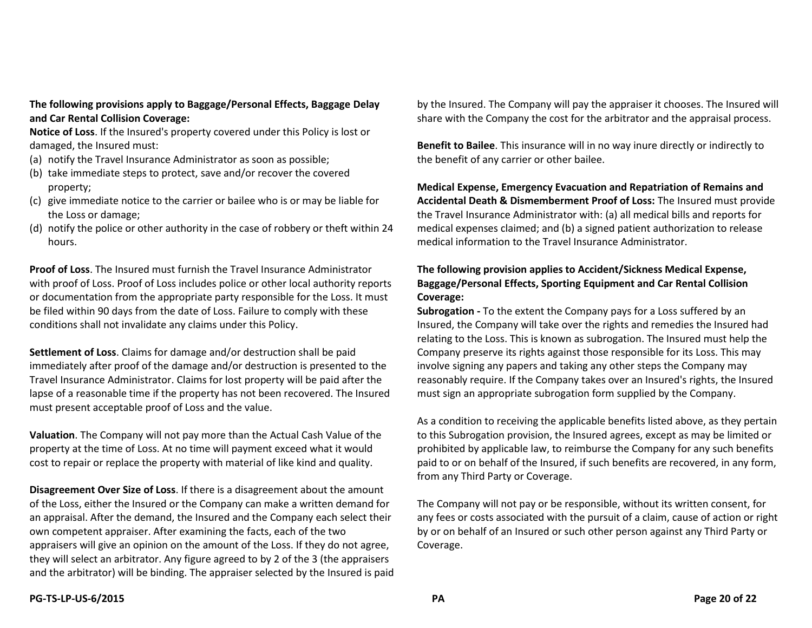**The following provisions apply to Baggage/Personal Effects, Baggage Delay and Car Rental Collision Coverage:**

**Notice of Loss**. If the Insured's property covered under this Policy is lost or damaged, the Insured must:

- (a) notify the Travel Insurance Administrator as soon as possible;
- (b) take immediate steps to protect, save and/or recover the covered property;
- (c) give immediate notice to the carrier or bailee who is or may be liable for the Loss or damage;
- (d) notify the police or other authority in the case of robbery or theft within 24 hours.

**Proof of Loss**. The Insured must furnish the Travel Insurance Administrator with proof of Loss. Proof of Loss includes police or other local authority reports or documentation from the appropriate party responsible for the Loss. It must be filed within 90 days from the date of Loss. Failure to comply with these conditions shall not invalidate any claims under this Policy.

**Settlement of Loss**. Claims for damage and/or destruction shall be paid immediately after proof of the damage and/or destruction is presented to the Travel Insurance Administrator. Claims for lost property will be paid after the lapse of a reasonable time if the property has not been recovered. The Insured must present acceptable proof of Loss and the value.

**Valuation**. The Company will not pay more than the Actual Cash Value of the property at the time of Loss. At no time will payment exceed what it would cost to repair or replace the property with material of like kind and quality.

**Disagreement Over Size of Loss**. If there is a disagreement about the amount of the Loss, either the Insured or the Company can make a written demand for an appraisal. After the demand, the Insured and the Company each select their own competent appraiser. After examining the facts, each of the two appraisers will give an opinion on the amount of the Loss. If they do not agree, they will select an arbitrator. Any figure agreed to by 2 of the 3 (the appraisers and the arbitrator) will be binding. The appraiser selected by the Insured is paid

by the Insured. The Company will pay the appraiser it chooses. The Insured will share with the Company the cost for the arbitrator and the appraisal process.

**Benefit to Bailee**. This insurance will in no way inure directly or indirectly to the benefit of any carrier or other bailee.

**Medical Expense, Emergency Evacuation and Repatriation of Remains and Accidental Death & Dismemberment Proof of Loss:** The Insured must provide the Travel Insurance Administrator with: (a) all medical bills and reports for medical expenses claimed; and (b) a signed patient authorization to release medical information to the Travel Insurance Administrator.

#### **The following provision applies to Accident/Sickness Medical Expense, Baggage/Personal Effects, Sporting Equipment and Car Rental Collision Coverage:**

**Subrogation -** To the extent the Company pays for a Loss suffered by an Insured, the Company will take over the rights and remedies the Insured had relating to the Loss. This is known as subrogation. The Insured must help the Company preserve its rights against those responsible for its Loss. This may involve signing any papers and taking any other steps the Company may reasonably require. If the Company takes over an Insured's rights, the Insured must sign an appropriate subrogation form supplied by the Company.

As a condition to receiving the applicable benefits listed above, as they pertain to this Subrogation provision, the Insured agrees, except as may be limited or prohibited by applicable law, to reimburse the Company for any such benefits paid to or on behalf of the Insured, if such benefits are recovered, in any form, from any Third Party or Coverage.

The Company will not pay or be responsible, without its written consent, for any fees or costs associated with the pursuit of a claim, cause of action or right by or on behalf of an Insured or such other person against any Third Party or Coverage.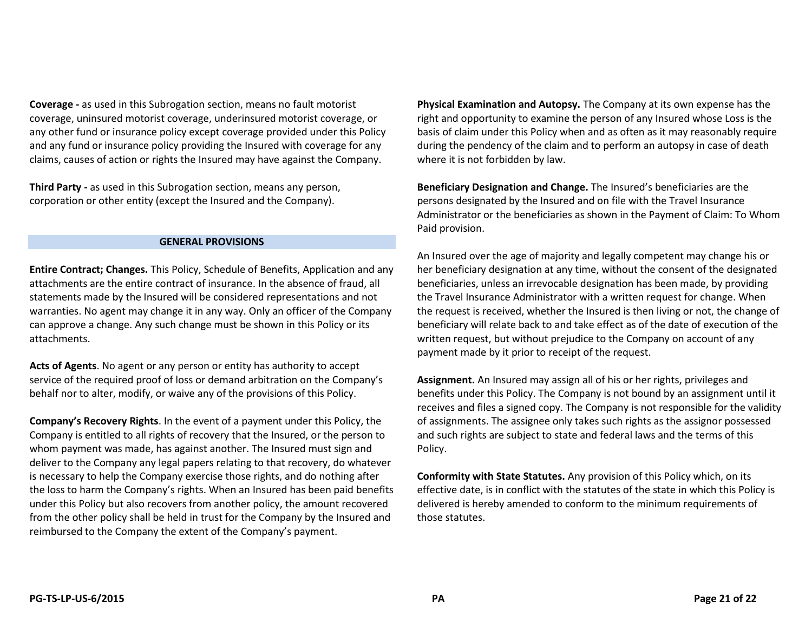**Coverage -** as used in this Subrogation section, means no fault motorist coverage, uninsured motorist coverage, underinsured motorist coverage, or any other fund or insurance policy except coverage provided under this Policy and any fund or insurance policy providing the Insured with coverage for any claims, causes of action or rights the Insured may have against the Company.

**Third Party -** as used in this Subrogation section, means any person, corporation or other entity (except the Insured and the Company).

#### **GENERAL PROVISIONS**

**Entire Contract; Changes.** This Policy, Schedule of Benefits, Application and any attachments are the entire contract of insurance. In the absence of fraud, all statements made by the Insured will be considered representations and not warranties. No agent may change it in any way. Only an officer of the Company can approve a change. Any such change must be shown in this Policy or its attachments.

**Acts of Agents**. No agent or any person or entity has authority to accept service of the required proof of loss or demand arbitration on the Company's behalf nor to alter, modify, or waive any of the provisions of this Policy.

**Company's Recovery Rights**. In the event of a payment under this Policy, the Company is entitled to all rights of recovery that the Insured, or the person to whom payment was made, has against another. The Insured must sign and deliver to the Company any legal papers relating to that recovery, do whatever is necessary to help the Company exercise those rights, and do nothing after the loss to harm the Company's rights. When an Insured has been paid benefits under this Policy but also recovers from another policy, the amount recovered from the other policy shall be held in trust for the Company by the Insured and reimbursed to the Company the extent of the Company's payment.

**Physical Examination and Autopsy.** The Company at its own expense has the right and opportunity to examine the person of any Insured whose Loss is the basis of claim under this Policy when and as often as it may reasonably require during the pendency of the claim and to perform an autopsy in case of death where it is not forbidden by law.

**Beneficiary Designation and Change.** The Insured's beneficiaries are the persons designated by the Insured and on file with the Travel Insurance Administrator or the beneficiaries as shown in the Payment of Claim: To Whom Paid provision.

An Insured over the age of majority and legally competent may change his or her beneficiary designation at any time, without the consent of the designated beneficiaries, unless an irrevocable designation has been made, by providing the Travel Insurance Administrator with a written request for change. When the request is received, whether the Insured is then living or not, the change of beneficiary will relate back to and take effect as of the date of execution of the written request, but without prejudice to the Company on account of any payment made by it prior to receipt of the request.

**Assignment.** An Insured may assign all of his or her rights, privileges and benefits under this Policy. The Company is not bound by an assignment until it receives and files a signed copy. The Company is not responsible for the validity of assignments. The assignee only takes such rights as the assignor possessed and such rights are subject to state and federal laws and the terms of this Policy.

**Conformity with State Statutes.** Any provision of this Policy which, on its effective date, is in conflict with the statutes of the state in which this Policy is delivered is hereby amended to conform to the minimum requirements of those statutes.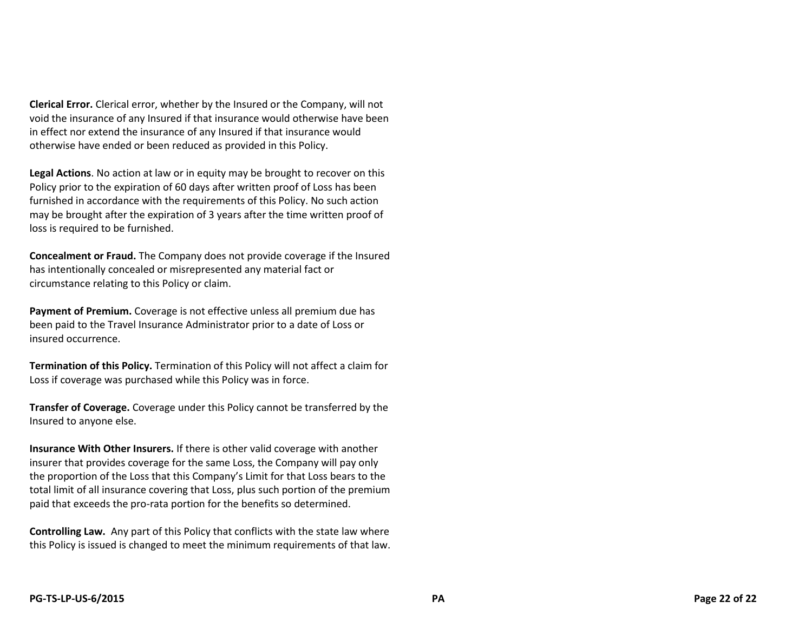**Clerical Error.** Clerical error, whether by the Insured or the Company, will not void the insurance of any Insured if that insurance would otherwise have been in effect nor extend the insurance of any Insured if that insurance would otherwise have ended or been reduced as provided in this Policy.

**Legal Actions**. No action at law or in equity may be brought to recover on this Policy prior to the expiration of 60 days after written proof of Loss has been furnished in accordance with the requirements of this Policy. No such action may be brought after the expiration of 3 years after the time written proof of loss is required to be furnished.

**Concealment or Fraud.** The Company does not provide coverage if the Insured has intentionally concealed or misrepresented any material fact or circumstance relating to this Policy or claim.

**Payment of Premium.** Coverage is not effective unless all premium due has been paid to the Travel Insurance Administrator prior to a date of Loss or insured occurrence.

**Termination of this Policy.** Termination of this Policy will not affect a claim for Loss if coverage was purchased while this Policy was in force.

**Transfer of Coverage.** Coverage under this Policy cannot be transferred by the Insured to anyone else.

**Insurance With Other Insurers.** If there is other valid coverage with another insurer that provides coverage for the same Loss, the Company will pay only the proportion of the Loss that this Company's Limit for that Loss bears to the total limit of all insurance covering that Loss, plus such portion of the premium paid that exceeds the pro-rata portion for the benefits so determined.

**Controlling Law.** Any part of this Policy that conflicts with the state law where this Policy is issued is changed to meet the minimum requirements of that law.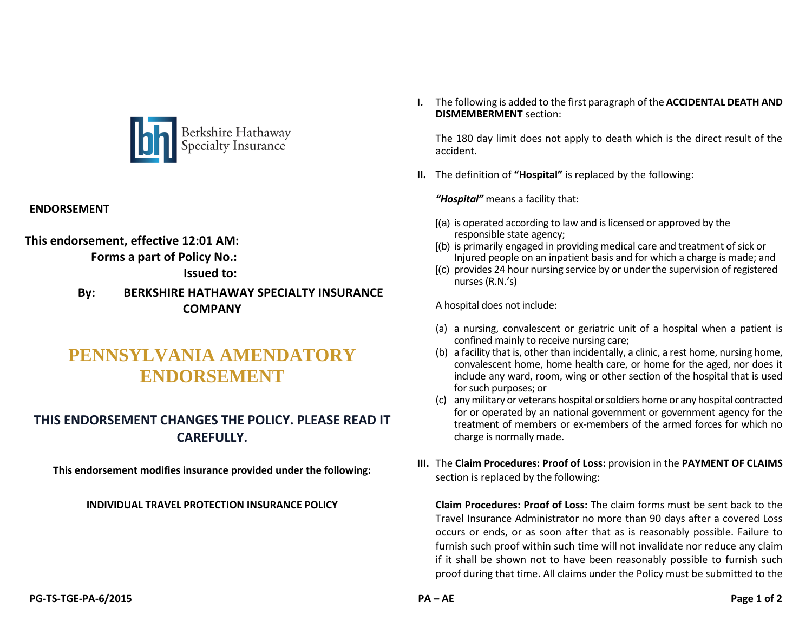

#### **ENDORSEMENT**

**This endorsement, effective 12:01 AM: Forms a part of Policy No.:**

**Issued to:** 

### **By: BERKSHIRE HATHAWAY SPECIALTY INSURANCE COMPANY**

# **PENNSYLVANIA AMENDATORY ENDORSEMENT**

# **THIS ENDORSEMENT CHANGES THE POLICY. PLEASE READ IT CAREFULLY.**

**This endorsement modifies insurance provided under the following:**

#### **INDIVIDUAL TRAVEL PROTECTION INSURANCE POLICY**

**I.** The following is added to the first paragraph of the **ACCIDENTAL DEATH AND DISMEMBERMENT** section:

The 180 day limit does not apply to death which is the direct result of the accident.

**II.** The definition of **"Hospital"** is replaced by the following:

*"Hospital"* means a facility that:

- [(a) is operated according to law and is licensed or approved by the responsible state agency;
- [(b) is primarily engaged in providing medical care and treatment of sick or Injured people on an inpatient basis and for which a charge is made; and
- [(c) provides 24 hour nursing service by or under the supervision of registered nurses (R.N.'s)

A hospital does not include:

- (a) a nursing, convalescent or geriatric unit of a hospital when a patient is confined mainly to receive nursing care;
- (b) a facility that is, other than incidentally, a clinic, a rest home, nursing home, convalescent home, home health care, or home for the aged, nor does it include any ward, room, wing or other section of the hospital that is used for such purposes; or
- (c) any military or veterans hospital or soldiers home or any hospital contracted for or operated by an national government or government agency for the treatment of members or ex-members of the armed forces for which no charge is normally made.
- **III.** The **Claim Procedures: Proof of Loss:** provision in the **PAYMENT OF CLAIMS** section is replaced by the following:

**Claim Procedures: Proof of Loss:** The claim forms must be sent back to the Travel Insurance Administrator no more than 90 days after a covered Loss occurs or ends, or as soon after that as is reasonably possible. Failure to furnish such proof within such time will not invalidate nor reduce any claim if it shall be shown not to have been reasonably possible to furnish such proof during that time. All claims under the Policy must be submitted to the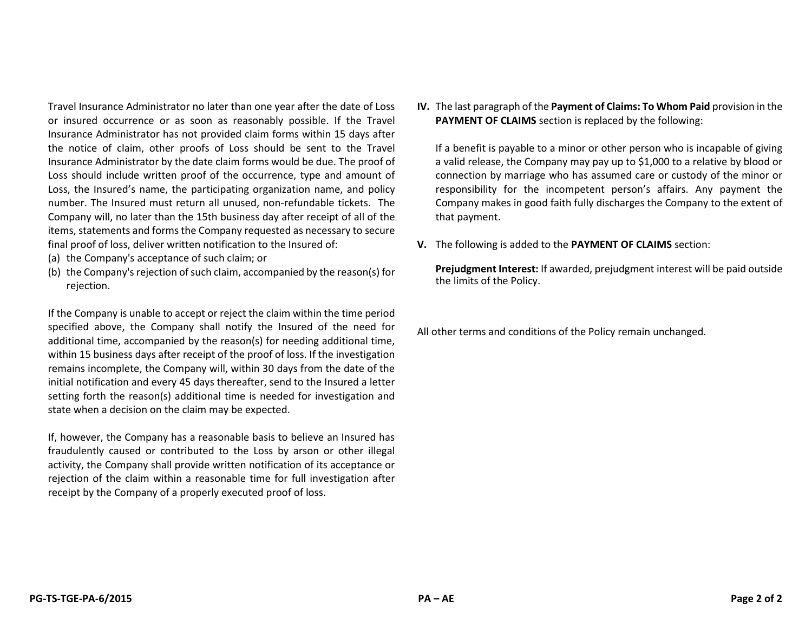Travel Insurance Administrator no later than one year after the date of Loss or insured occurrence or as soon as reasonably possible. If the Travel Insurance Administrator has not provided claim forms within 15 days after the notice of claim, other proofs of Loss should be sent to the Travel Insurance Administrator by the date claim forms would be due. The proof of Loss should include written proof of the occurrence, type and amount of Loss, the Insured's name, the participating organization name, and policy number. The Insured must return all unused, non-refundable tickets. The Company will, no later than the 15th business day after receipt of all of the items, statements and forms the Company requested as necessary to secure final proof of loss, deliver written notification to the Insured of:

- (a) the Company's acceptance of such claim; or
- (b) the Company's rejection of such claim, accompanied by the reason(s) for rejection.

If the Company is unable to accept or reject the claim within the time period specified above, the Company shall notify the Insured of the need for additional time, accompanied by the reason(s) for needing additional time, within 15 business days after receipt of the proof of loss. If the investigation remains incomplete, the Company will, within 30 days from the date of the initial notification and every 45 days thereafter, send to the Insured a letter setting forth the reason(s) additional time is needed for investigation and state when a decision on the claim may be expected.

If, however, the Company has a reasonable basis to believe an Insured has fraudulently caused or contributed to the Loss by arson or other illegal activity, the Company shall provide written notification of its acceptance or rejection of the claim within a reasonable time for full investigation after receipt by the Company of a properly executed proof of loss.

**IV.** The last paragraph of the **Payment of Claims: To Whom Paid** provision in the **PAYMENT OF CLAIMS** section is replaced by the following:

If a benefit is payable to a minor or other person who is incapable of giving a valid release, the Company may pay up to \$1,000 to a relative by blood or connection by marriage who has assumed care or custody of the minor or responsibility for the incompetent person's affairs. Any payment the Company makes in good faith fully discharges the Company to the extent of that payment.

**V.** The following is added to the **PAYMENT OF CLAIMS** section:

**Prejudgment Interest:** If awarded, prejudgment interest will be paid outside the limits of the Policy.

All other terms and conditions of the Policy remain unchanged.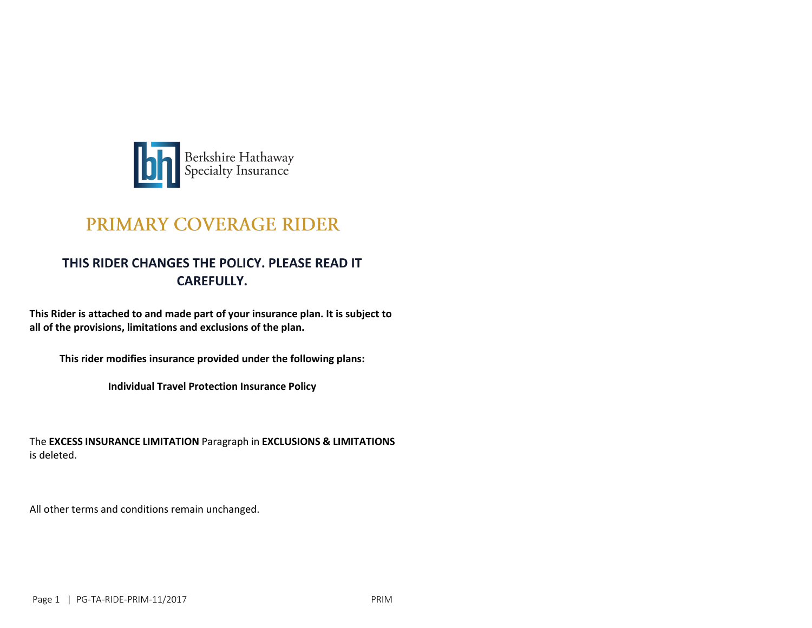

# PRIMARY COVERAGE RIDER

## **THIS RIDER CHANGES THE POLICY. PLEASE READ IT CAREFULLY.**

**This Rider is attached to and made part of your insurance plan. It is subject to all of the provisions, limitations and exclusions of the plan.**

**This rider modifies insurance provided under the following plans:**

**Individual Travel Protection Insurance Policy**

The **EXCESS INSURANCE LIMITATION** Paragraph in **EXCLUSIONS & LIMITATIONS**  is deleted.

All other terms and conditions remain unchanged.